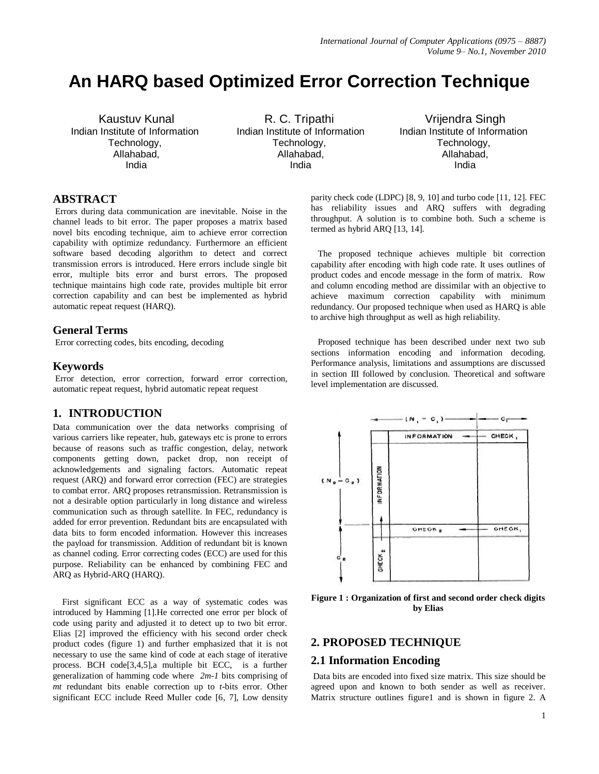# **An HARQ based Optimized Error Correction Technique**

Kaustuv Kunal Indian Institute of Information Technology, Allahabad, India

R. C. Tripathi Indian Institute of Information Technology, Allahabad, India

Vrijendra Singh Indian Institute of Information Technology, Allahabad, India

# **ABSTRACT**

Errors during data communication are inevitable. Noise in the channel leads to bit error. The paper proposes a matrix based novel bits encoding technique, aim to achieve error correction capability with optimize redundancy. Furthermore an efficient software based decoding algorithm to detect and correct transmission errors is introduced. Here errors include single bit error, multiple bits error and burst errors. The proposed technique maintains high code rate, provides multiple bit error correction capability and can best be implemented as hybrid automatic repeat request (HARQ).

### **General Terms**

Error correcting codes, bits encoding, decoding

#### **Keywords**

Error detection, error correction, forward error correction, automatic repeat request, hybrid automatic repeat request

## **1. INTRODUCTION**

Data communication over the data networks comprising of various carriers like repeater, hub, gateways etc is prone to errors because of reasons such as traffic congestion, delay, network components getting down, packet drop, non receipt of acknowledgements and signaling factors. Automatic repeat request (ARQ) and forward error correction (FEC) are strategies to combat error. ARQ proposes retransmission. Retransmission is not a desirable option particularly in long distance and wireless communication such as through satellite. In FEC, redundancy is added for error prevention. Redundant bits are encapsulated with data bits to form encoded information. However this increases the payload for transmission. Addition of redundant bit is known as channel coding. Error correcting codes (ECC) are used for this purpose. Reliability can be enhanced by combining FEC and ARQ as Hybrid-ARQ (HARQ).

 First significant ECC as a way of systematic codes was introduced by Hamming [1].He corrected one error per block of code using parity and adjusted it to detect up to two bit error. Elias [2] improved the efficiency with his second order check product codes (figure 1) and further emphasized that it is not necessary to use the same kind of code at each stage of iterative process. BCH code[3,4,5],a multiple bit ECC, is a further generalization of hamming code where *2m-1* bits comprising of *mt* redundant bits enable correction up to *t*-bits error. Other significant ECC include Reed Muller code [6, 7], Low density

parity check code (LDPC) [8, 9, 10] and turbo code [11, 12]. FEC has reliability issues and ARQ suffers with degrading throughput. A solution is to combine both. Such a scheme is termed as hybrid ARQ [13, 14].

 The proposed technique achieves multiple bit correction capability after encoding with high code rate. It uses outlines of product codes and encode message in the form of matrix. Row and column encoding method are dissimilar with an objective to achieve maximum correction capability with minimum redundancy. Our proposed technique when used as HARQ is able to archive high throughput as well as high reliability.

 Proposed technique has been described under next two sub sections information encoding and information decoding. Performance analysis, limitations and assumptions are discussed in section III followed by conclusion. Theoretical and software level implementation are discussed.



**Figure 1 : Organization of first and second order check digits by Elias**

## **2. PROPOSED TECHNIQUE**

### **2.1 Information Encoding**

Data bits are encoded into fixed size matrix. This size should be agreed upon and known to both sender as well as receiver. Matrix structure outlines figure1 and is shown in figure 2. A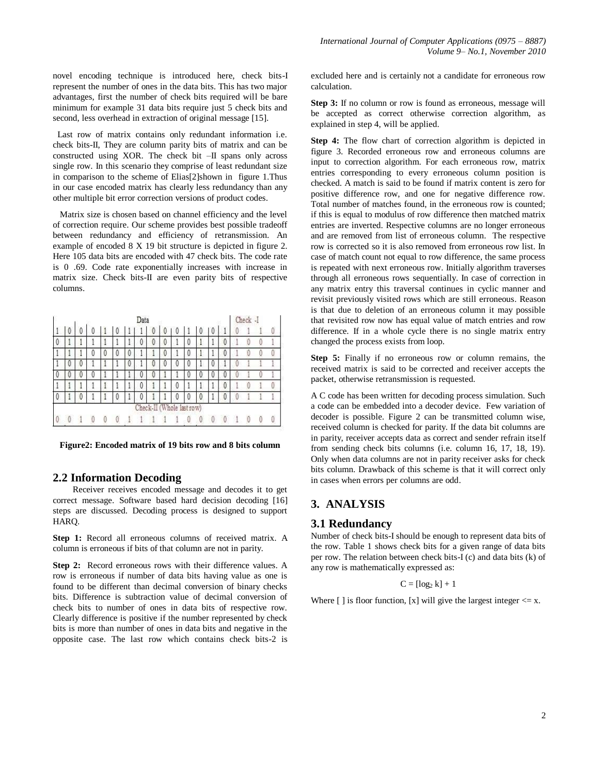novel encoding technique is introduced here, check bits-I represent the number of ones in the data bits. This has two major advantages, first the number of check bits required will be bare minimum for example 31 data bits require just 5 check bits and second, less overhead in extraction of original message [15].

 Last row of matrix contains only redundant information i.e. check bits-II, They are column parity bits of matrix and can be constructed using XOR. The check bit –II spans only across single row. In this scenario they comprise of least redundant size in comparison to the scheme of Elias[2]shown in figure 1.Thus in our case encoded matrix has clearly less redundancy than any other multiple bit error correction versions of product codes.

 Matrix size is chosen based on channel efficiency and the level of correction require. Our scheme provides best possible tradeoff between redundancy and efficiency of retransmission. An example of encoded 8 X 19 bit structure is depicted in figure 2. Here 105 data bits are encoded with 47 check bits. The code rate is 0 .69. Code rate exponentially increases with increase in matrix size. Check bits-II are even parity bits of respective columns.

|   |   |   |   |   |   |   | Data |                           |   |   |   |   |   |   | Check -I |  |
|---|---|---|---|---|---|---|------|---------------------------|---|---|---|---|---|---|----------|--|
|   | 0 | 0 | U |   | υ | H |      | 0                         | V | V | 1 | v | 0 |   |          |  |
| V |   |   |   |   | 1 | ł | 0    | 0                         | 0 |   |   |   |   | 0 |          |  |
|   |   |   | O | v | 0 | 0 |      |                           | 0 |   |   |   |   | 0 |          |  |
|   |   | Ü |   |   |   |   |      |                           | Ü |   |   |   |   |   |          |  |
|   |   | Ü | U |   |   |   | υ    | U                         |   |   |   |   |   | U |          |  |
|   |   |   |   |   | l | l | 0    |                           |   | 0 |   |   |   | 0 |          |  |
| 0 |   |   |   |   |   |   |      |                           |   |   |   |   |   |   |          |  |
|   |   |   |   |   |   |   |      | Check-II (Whole last row) |   |   |   |   |   |   |          |  |
|   |   |   |   |   |   |   |      |                           |   |   |   |   |   |   |          |  |

**Figure2: Encoded matrix of 19 bits row and 8 bits column**

#### **2.2 Information Decoding**

Receiver receives encoded message and decodes it to get correct message. Software based hard decision decoding [16] steps are discussed. Decoding process is designed to support HARQ.

**Step 1:** Record all erroneous columns of received matrix. A column is erroneous if bits of that column are not in parity.

**Step 2:** Record erroneous rows with their difference values. A row is erroneous if number of data bits having value as one is found to be different than decimal conversion of binary checks bits. Difference is subtraction value of decimal conversion of check bits to number of ones in data bits of respective row. Clearly difference is positive if the number represented by check bits is more than number of ones in data bits and negative in the opposite case. The last row which contains check bits-2 is

excluded here and is certainly not a candidate for erroneous row calculation.

**Step 3:** If no column or row is found as erroneous, message will be accepted as correct otherwise correction algorithm, as explained in step 4, will be applied.

**Step 4:** The flow chart of correction algorithm is depicted in figure 3. Recorded erroneous row and erroneous columns are input to correction algorithm. For each erroneous row, matrix entries corresponding to every erroneous column position is checked. A match is said to be found if matrix content is zero for positive difference row, and one for negative difference row. Total number of matches found, in the erroneous row is counted; if this is equal to modulus of row difference then matched matrix entries are inverted. Respective columns are no longer erroneous and are removed from list of erroneous column. The respective row is corrected so it is also removed from erroneous row list. In case of match count not equal to row difference, the same process is repeated with next erroneous row. Initially algorithm traverses through all erroneous rows sequentially. In case of correction in any matrix entry this traversal continues in cyclic manner and revisit previously visited rows which are still erroneous. Reason is that due to deletion of an erroneous column it may possible that revisited row now has equal value of match entries and row difference. If in a whole cycle there is no single matrix entry changed the process exists from loop.

**Step 5:** Finally if no erroneous row or column remains, the received matrix is said to be corrected and receiver accepts the packet, otherwise retransmission is requested.

A C code has been written for decoding process simulation. Such a code can be embedded into a decoder device. Few variation of decoder is possible. Figure 2 can be transmitted column wise, received column is checked for parity. If the data bit columns are in parity, receiver accepts data as correct and sender refrain itself from sending check bits columns (i.e. column 16, 17, 18, 19). Only when data columns are not in parity receiver asks for check bits column. Drawback of this scheme is that it will correct only in cases when errors per columns are odd.

### **3. ANALYSIS**

#### **3.1 Redundancy**

Number of check bits-I should be enough to represent data bits of the row. Table 1 shows check bits for a given range of data bits per row. The relation between check bits-I (c) and data bits (k) of any row is mathematically expressed as:

#### $C = [\log_2 k] + 1$

Where  $\lceil \cdot \rceil$  is floor function,  $\lceil x \rceil$  will give the largest integer  $\leq x$ .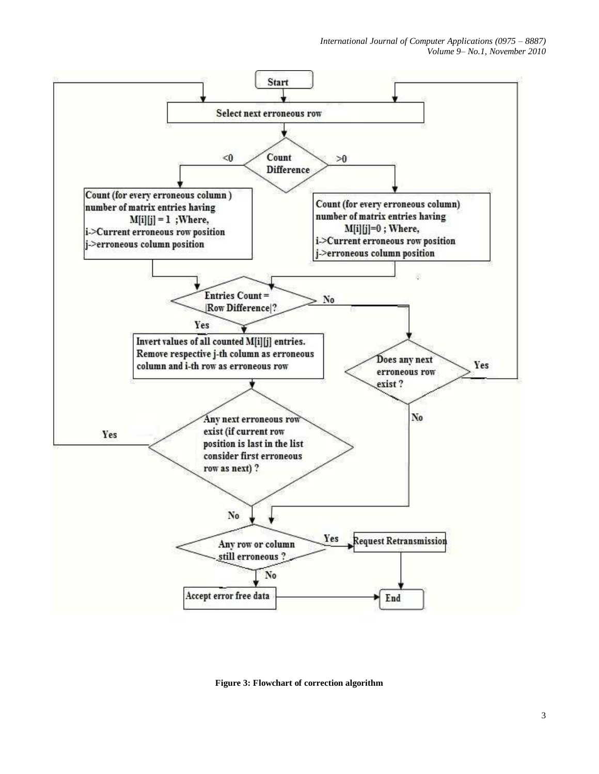*International Journal of Computer Applications (0975 – 8887) Volume 9– No.1, November 2010*



**Figure 3: Flowchart of correction algorithm**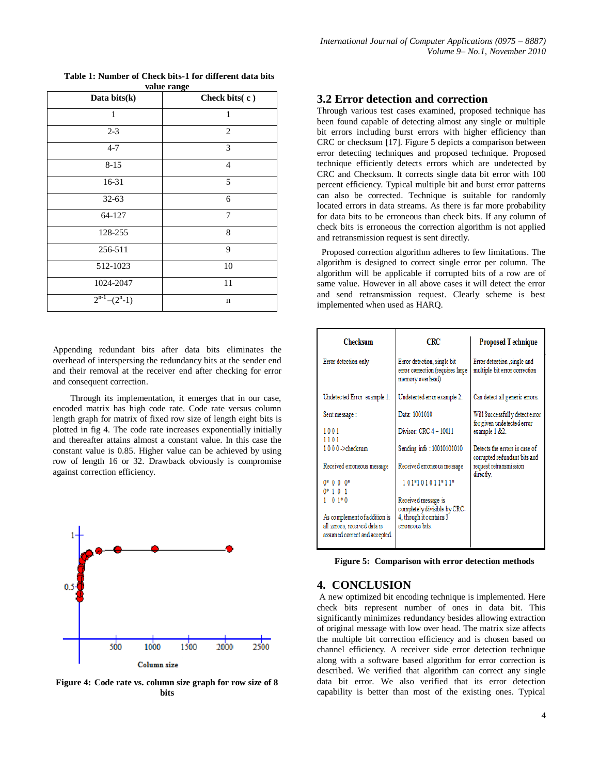| value range                      |                |  |  |  |  |  |  |
|----------------------------------|----------------|--|--|--|--|--|--|
| Data bits(k)                     | Check bits(c)  |  |  |  |  |  |  |
| $\mathbf{1}$                     | $\mathbf{1}$   |  |  |  |  |  |  |
| $2 - 3$                          | $\overline{2}$ |  |  |  |  |  |  |
| $4 - 7$                          | 3              |  |  |  |  |  |  |
| $8 - 15$                         | $\overline{4}$ |  |  |  |  |  |  |
| 16-31                            | 5              |  |  |  |  |  |  |
| $32 - 63$                        | 6              |  |  |  |  |  |  |
| 64-127                           | 7              |  |  |  |  |  |  |
| 128-255                          | 8              |  |  |  |  |  |  |
| 256-511                          | 9              |  |  |  |  |  |  |
| 512-1023                         | 10             |  |  |  |  |  |  |
| 1024-2047                        | 11             |  |  |  |  |  |  |
| $\overline{2}^{n-1}$ – $(2^n-1)$ | n              |  |  |  |  |  |  |

**Table 1: Number of Check bits-1 for different data bits** 

Appending redundant bits after data bits eliminates the overhead of interspersing the redundancy bits at the sender end and their removal at the receiver end after checking for error and consequent correction.

Through its implementation, it emerges that in our case, encoded matrix has high code rate. Code rate versus column length graph for matrix of fixed row size of length eight bits is plotted in fig 4. The code rate increases exponentially initially and thereafter attains almost a constant value. In this case the constant value is 0.85. Higher value can be achieved by using row of length 16 or 32. Drawback obviously is compromise against correction efficiency.



**Figure 4: Code rate vs. column size graph for row size of 8 bits**

## **3.2 Error detection and correction**

Through various test cases examined, proposed technique has been found capable of detecting almost any single or multiple bit errors including burst errors with higher efficiency than CRC or checksum [17]. Figure 5 depicts a comparison between error detecting techniques and proposed technique. Proposed technique efficiently detects errors which are undetected by CRC and Checksum. It corrects single data bit error with 100 percent efficiency. Typical multiple bit and burst error patterns can also be corrected. Technique is suitable for randomly located errors in data streams. As there is far more probability for data bits to be erroneous than check bits. If any column of check bits is erroneous the correction algorithm is not applied and retransmission request is sent directly.

 Proposed correction algorithm adheres to few limitations. The algorithm is designed to correct single error per column. The algorithm will be applicable if corrupted bits of a row are of same value. However in all above cases it will detect the error and send retransmission request. Clearly scheme is best implemented when used as HARQ.

| <b>Checksum</b>                                                                               | CRC                                                                                 | Proposed Technique                                            |  |  |  |  |
|-----------------------------------------------------------------------------------------------|-------------------------------------------------------------------------------------|---------------------------------------------------------------|--|--|--|--|
| Error detection only                                                                          | Error detection, single bit<br>error correction (requires large<br>memory overhead) | Error detection , single and<br>multiple bit error correction |  |  |  |  |
| Undetected Error example 1:                                                                   | Undetected error example 2:                                                         | Can detect all generic errors.                                |  |  |  |  |
| Sent message:                                                                                 | Data: 1001010                                                                       | Will Successfully detect error<br>for given undetected error  |  |  |  |  |
| 1001<br>1101                                                                                  | Divisor: CRC 4 - 10011                                                              | example 1 &2.                                                 |  |  |  |  |
| 1000 ->checksum                                                                               | Sending info: 10010101010                                                           | Detects the errors in case of<br>corrupted redundant bits and |  |  |  |  |
| Received erroneous message                                                                    | Received erroneous message                                                          | request retransmission<br>directly.                           |  |  |  |  |
| $0*000*$<br>$0*101$                                                                           | 101*101011*11*                                                                      |                                                               |  |  |  |  |
| $01*0$                                                                                        | Received message is<br>completely divisible by CRC-                                 |                                                               |  |  |  |  |
| As complement of addition is<br>all zeroes, received data is<br>assumed correct and accepted. | 4, though it contains 3<br>erroreous bits.                                          |                                                               |  |  |  |  |

**Figure 5: Comparison with error detection methods**

#### **4. CONCLUSION**

A new optimized bit encoding technique is implemented. Here check bits represent number of ones in data bit. This significantly minimizes redundancy besides allowing extraction of original message with low over head. The matrix size affects the multiple bit correction efficiency and is chosen based on channel efficiency. A receiver side error detection technique along with a software based algorithm for error correction is described. We verified that algorithm can correct any single data bit error. We also verified that its error detection capability is better than most of the existing ones. Typical